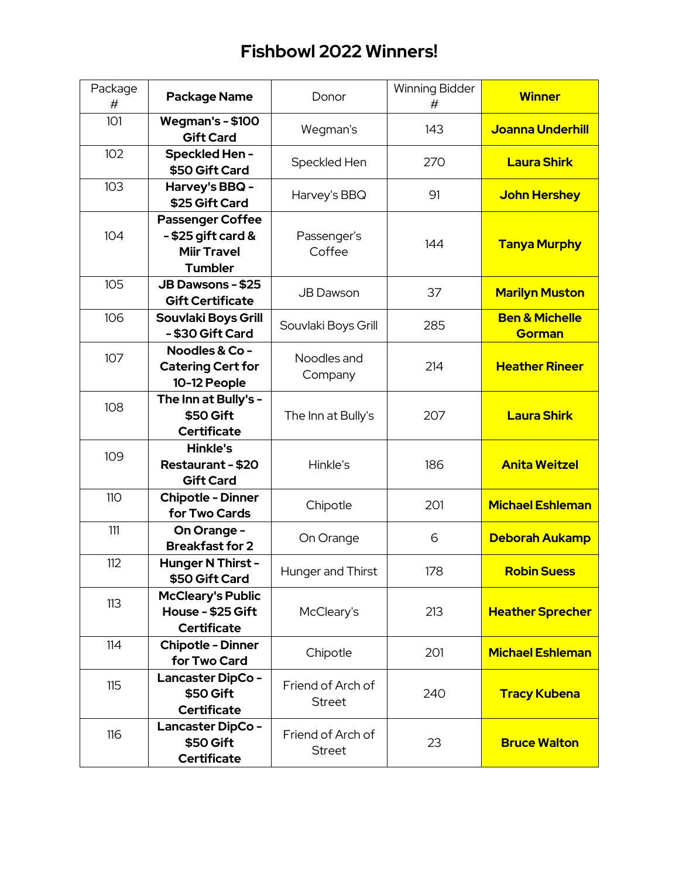| Package<br># | <b>Package Name</b>                                                                     | Donor                              | <b>Winning Bidder</b><br># | <b>Winner</b>                              |
|--------------|-----------------------------------------------------------------------------------------|------------------------------------|----------------------------|--------------------------------------------|
| 101          | <b>Wegman's - \$100</b><br><b>Gift Card</b>                                             | Wegman's                           | 143                        | <b>Joanna Underhill</b>                    |
| 102          | Speckled Hen-<br>\$50 Gift Card                                                         | Speckled Hen                       | 270                        | <b>Laura Shirk</b>                         |
| 103          | Harvey's BBQ -<br>\$25 Gift Card                                                        | Harvey's BBQ                       | 91                         | <b>John Hershey</b>                        |
| 104          | <b>Passenger Coffee</b><br>$-$ \$25 gift card &<br><b>Miir Travel</b><br><b>Tumbler</b> | Passenger's<br>Coffee              | 144                        | <b>Tanya Murphy</b>                        |
| 105          | <b>JB Dawsons - \$25</b><br><b>Gift Certificate</b>                                     | <b>JB Dawson</b>                   | 37                         | <b>Marilyn Muston</b>                      |
| 106          | Souvlaki Boys Grill<br>- \$30 Gift Card                                                 | Souvlaki Boys Grill                | 285                        | <b>Ben &amp; Michelle</b><br><b>Gorman</b> |
| 107          | Noodles & Co -<br><b>Catering Cert for</b><br>10-12 People                              | Noodles and<br>Company             | 214                        | <b>Heather Rineer</b>                      |
| 108          | The Inn at Bully's -<br>\$50 Gift<br><b>Certificate</b>                                 | The Inn at Bully's                 | 207                        | <b>Laura Shirk</b>                         |
| 109          | <b>Hinkle's</b><br>Restaurant - \$20<br><b>Gift Card</b>                                | Hinkle's                           | 186                        | <b>Anita Weitzel</b>                       |
| <b>110</b>   | <b>Chipotle - Dinner</b><br>for Two Cards                                               | Chipotle                           | 201                        | <b>Michael Eshleman</b>                    |
| 111          | On Orange -<br><b>Breakfast for 2</b>                                                   | On Orange                          | 6                          | <b>Deborah Aukamp</b>                      |
| 112          | Hunger N Thirst -<br>\$50 Gift Card                                                     | <b>Hunger and Thirst</b>           | 178                        | <b>Robin Suess</b>                         |
| 113          | <b>McCleary's Public</b><br>House - \$25 Gift<br><b>Certificate</b>                     | McCleary's                         | 213                        | <b>Heather Sprecher</b>                    |
| 114          | <b>Chipotle - Dinner</b><br>for Two Card                                                | Chipotle                           | 201                        | <b>Michael Eshleman</b>                    |
| 115          | <b>Lancaster DipCo-</b><br>\$50 Gift<br><b>Certificate</b>                              | Friend of Arch of<br><b>Street</b> | 240                        | <b>Tracy Kubena</b>                        |
| 116          | Lancaster DipCo-<br>\$50 Gift<br><b>Certificate</b>                                     | Friend of Arch of<br><b>Street</b> | 23                         | <b>Bruce Walton</b>                        |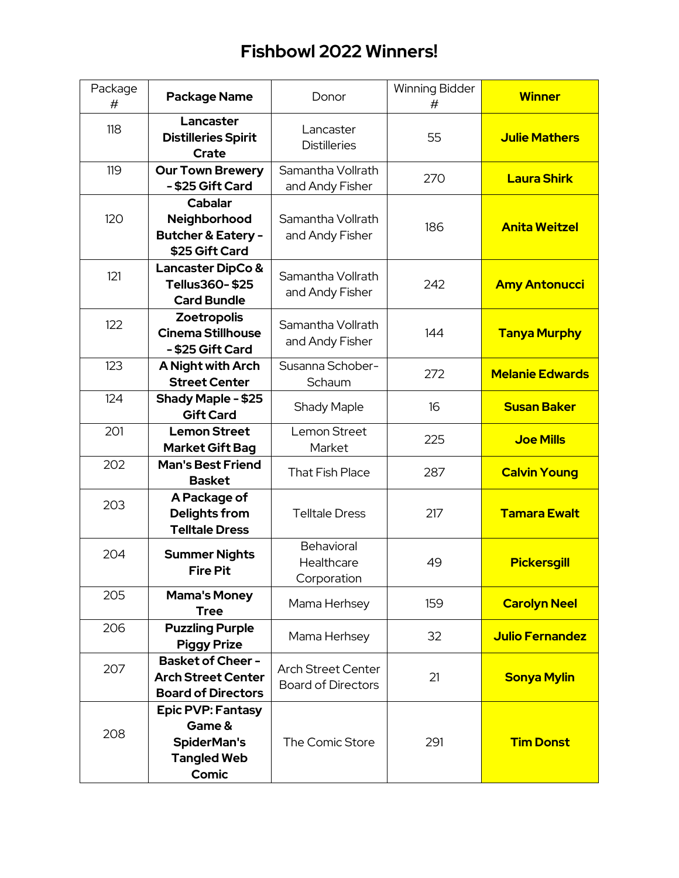| Package<br># | <b>Package Name</b>                                                                            | Donor                                                  | <b>Winning Bidder</b><br># | <b>Winner</b>          |
|--------------|------------------------------------------------------------------------------------------------|--------------------------------------------------------|----------------------------|------------------------|
| 118          | Lancaster<br><b>Distilleries Spirit</b><br><b>Crate</b>                                        | Lancaster<br><b>Distilleries</b>                       | 55                         | <b>Julie Mathers</b>   |
| 119          | <b>Our Town Brewery</b><br>- \$25 Gift Card                                                    | Samantha Vollrath<br>and Andy Fisher                   | 270                        | <b>Laura Shirk</b>     |
| 120          | Cabalar<br>Neighborhood<br><b>Butcher &amp; Eatery -</b><br>\$25 Gift Card                     | Samantha Vollrath<br>and Andy Fisher                   | 186                        | <b>Anita Weitzel</b>   |
| 121          | <b>Lancaster DipCo &amp;</b><br>Tellus360-\$25<br><b>Card Bundle</b>                           | Samantha Vollrath<br>and Andy Fisher                   | 242                        | <b>Amy Antonucci</b>   |
| 122          | Zoetropolis<br><b>Cinema Stillhouse</b><br>- \$25 Gift Card                                    | Samantha Vollrath<br>and Andy Fisher                   | 144                        | <b>Tanya Murphy</b>    |
| 123          | A Night with Arch<br><b>Street Center</b>                                                      | Susanna Schober-<br>Schaum                             | 272                        | <b>Melanie Edwards</b> |
| 124          | Shady Maple - \$25<br><b>Gift Card</b>                                                         | <b>Shady Maple</b>                                     | 16                         | <b>Susan Baker</b>     |
| 201          | <b>Lemon Street</b><br><b>Market Gift Bag</b>                                                  | Lemon Street<br>Market                                 | 225                        | <b>Joe Mills</b>       |
| 202          | <b>Man's Best Friend</b><br><b>Basket</b>                                                      | <b>That Fish Place</b>                                 | 287                        | <b>Calvin Young</b>    |
| 203          | A Package of<br>Delights from<br><b>Telltale Dress</b>                                         | <b>Telltale Dress</b>                                  | 217                        | <b>Tamara Ewalt</b>    |
| 204          | <b>Summer Nights</b><br><b>Fire Pit</b>                                                        | Behavioral<br>Healthcare<br>Corporation                | 49                         | <b>Pickersgill</b>     |
| 205          | <b>Mama's Money</b><br><b>Tree</b>                                                             | Mama Herhsey                                           | 159                        | <b>Carolyn Neel</b>    |
| 206          | <b>Puzzling Purple</b><br><b>Piggy Prize</b>                                                   | Mama Herhsey                                           | 32                         | <b>Julio Fernandez</b> |
| 207          | <b>Basket of Cheer -</b><br><b>Arch Street Center</b><br><b>Board of Directors</b>             | <b>Arch Street Center</b><br><b>Board of Directors</b> | 21                         | <b>Sonya Mylin</b>     |
| 208          | <b>Epic PVP: Fantasy</b><br>Game &<br><b>SpiderMan's</b><br><b>Tangled Web</b><br><b>Comic</b> | The Comic Store                                        | 291                        | <b>Tim Donst</b>       |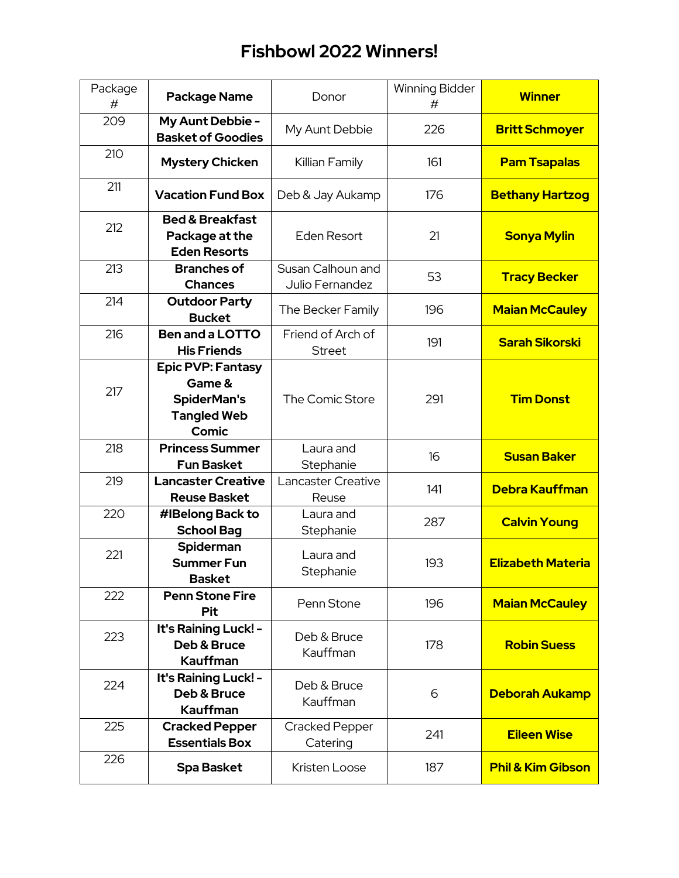| Package<br># | <b>Package Name</b>                                                                     | Donor                                | <b>Winning Bidder</b><br># | <b>Winner</b>                |
|--------------|-----------------------------------------------------------------------------------------|--------------------------------------|----------------------------|------------------------------|
| 209          | My Aunt Debbie -<br><b>Basket of Goodies</b>                                            | My Aunt Debbie                       | 226                        | <b>Britt Schmoyer</b>        |
| 210          | <b>Mystery Chicken</b>                                                                  | Killian Family                       | 161                        | <b>Pam Tsapalas</b>          |
| 211          | <b>Vacation Fund Box</b>                                                                | Deb & Jay Aukamp                     | 176                        | <b>Bethany Hartzog</b>       |
| 212          | <b>Bed &amp; Breakfast</b><br>Package at the<br><b>Eden Resorts</b>                     | <b>Eden Resort</b>                   | 21                         | <b>Sonya Mylin</b>           |
| 213          | <b>Branches of</b><br><b>Chances</b>                                                    | Susan Calhoun and<br>Julio Fernandez | 53                         | <b>Tracy Becker</b>          |
| 214          | <b>Outdoor Party</b><br><b>Bucket</b>                                                   | The Becker Family                    | 196                        | <b>Maian McCauley</b>        |
| 216          | <b>Ben and a LOTTO</b><br><b>His Friends</b>                                            | Friend of Arch of<br><b>Street</b>   | 191                        | <b>Sarah Sikorski</b>        |
| 217          | <b>Epic PVP: Fantasy</b><br>Game &<br><b>SpiderMan's</b><br><b>Tangled Web</b><br>Comic | The Comic Store                      | 291                        | <b>Tim Donst</b>             |
| 218          | <b>Princess Summer</b><br><b>Fun Basket</b>                                             | Laura and<br>Stephanie               | 16                         | <b>Susan Baker</b>           |
| 219          | <b>Lancaster Creative</b><br><b>Reuse Basket</b>                                        | Lancaster Creative<br>Reuse          | 141                        | Debra Kauffman               |
| 220          | #IBelong Back to<br><b>School Bag</b>                                                   | Laura and<br>Stephanie               | 287                        | <b>Calvin Young</b>          |
| 221          | Spiderman<br><b>Summer Fun</b><br><b>Basket</b>                                         | Laura and<br>Stephanie               | 193                        | <b>Elizabeth Materia</b>     |
| 222          | <b>Penn Stone Fire</b><br><b>Pit</b>                                                    | Penn Stone                           | 196                        | <b>Maian McCauley</b>        |
| 223          | It's Raining Luck! -<br>Deb & Bruce<br><b>Kauffman</b>                                  | Deb & Bruce<br>Kauffman              | 178                        | <b>Robin Suess</b>           |
| 224          | It's Raining Luck! -<br>Deb & Bruce<br>Kauffman                                         | Deb & Bruce<br>Kauffman              | 6                          | <b>Deborah Aukamp</b>        |
| 225          | <b>Cracked Pepper</b><br><b>Essentials Box</b>                                          | Cracked Pepper<br>Catering           | 241                        | <b>Eileen Wise</b>           |
| 226          | <b>Spa Basket</b>                                                                       | Kristen Loose                        | 187                        | <b>Phil &amp; Kim Gibson</b> |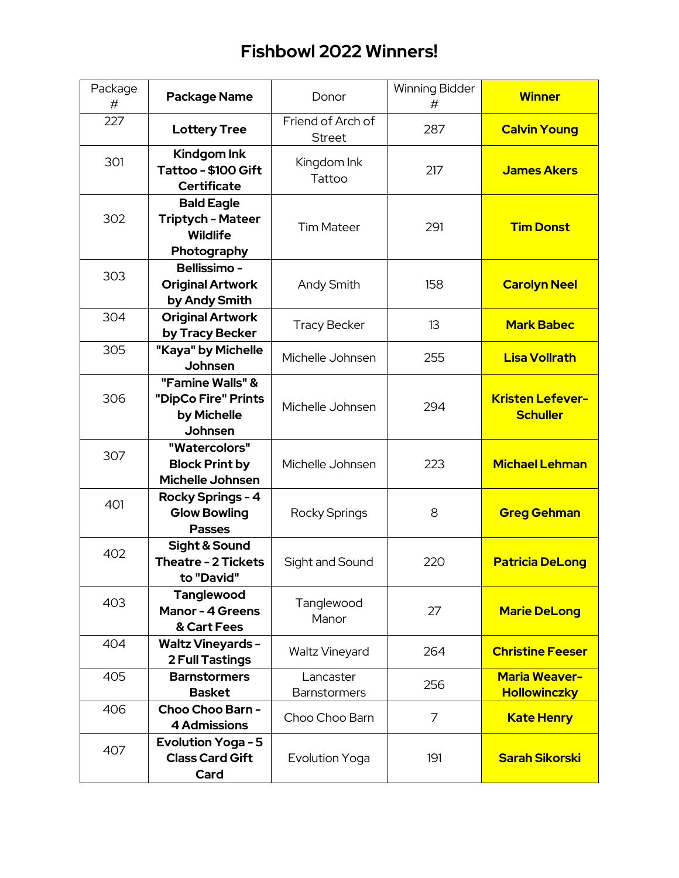| Package<br># | <b>Package Name</b>                                                             | Donor                              | <b>Winning Bidder</b><br># | <b>Winner</b>                               |
|--------------|---------------------------------------------------------------------------------|------------------------------------|----------------------------|---------------------------------------------|
| 227          | <b>Lottery Tree</b>                                                             | Friend of Arch of<br><b>Street</b> | 287                        | <b>Calvin Young</b>                         |
| 301          | Kindgom Ink<br>Tattoo - \$100 Gift<br><b>Certificate</b>                        | Kingdom Ink<br>Tattoo              | 217                        | <b>James Akers</b>                          |
| 302          | <b>Bald Eagle</b><br><b>Triptych - Mateer</b><br><b>Wildlife</b><br>Photography | <b>Tim Mateer</b>                  | 291                        | <b>Tim Donst</b>                            |
| 303          | <b>Bellissimo -</b><br><b>Original Artwork</b><br>by Andy Smith                 | <b>Andy Smith</b>                  | 158                        | <b>Carolyn Neel</b>                         |
| 304          | <b>Original Artwork</b><br>by Tracy Becker                                      | <b>Tracy Becker</b>                | 13                         | <b>Mark Babec</b>                           |
| 305          | "Kaya" by Michelle<br>Johnsen                                                   | Michelle Johnsen                   | 255                        | <b>Lisa Vollrath</b>                        |
| 306          | "Famine Walls" &<br>"DipCo Fire" Prints<br>by Michelle<br>Johnsen               | Michelle Johnsen                   | 294                        | <b>Kristen Lefever-</b><br><b>Schuller</b>  |
| 307          | "Watercolors"<br><b>Block Print by</b><br><b>Michelle Johnsen</b>               | Michelle Johnsen                   | 223                        | <b>Michael Lehman</b>                       |
| 401          | Rocky Springs - 4<br><b>Glow Bowling</b><br><b>Passes</b>                       | Rocky Springs                      | 8                          | <b>Greg Gehman</b>                          |
| 402          | <b>Sight &amp; Sound</b><br><b>Theatre - 2 Tickets</b><br>to "David"            | Sight and Sound                    | 220                        | <b>Patricia DeLong</b>                      |
| 403          | <b>Tanglewood</b><br><b>Manor - 4 Greens</b><br>& Cart Fees                     | Tanglewood<br>Manor                | 27                         | <b>Marie DeLong</b>                         |
| 404          | <b>Waltz Vineyards -</b><br><b>2 Full Tastings</b>                              | <b>Waltz Vineyard</b>              | 264                        | <b>Christine Feeser</b>                     |
| 405          | <b>Barnstormers</b><br><b>Basket</b>                                            | Lancaster<br><b>Barnstormers</b>   | 256                        | <b>Maria Weaver-</b><br><b>Hollowinczky</b> |
| 406          | Choo Choo Barn -<br><b>4 Admissions</b>                                         | Choo Choo Barn                     | 7                          | <b>Kate Henry</b>                           |
| 407          | <b>Evolution Yoga - 5</b><br><b>Class Card Gift</b><br>Card                     | <b>Evolution Yoga</b>              | 191                        | <b>Sarah Sikorski</b>                       |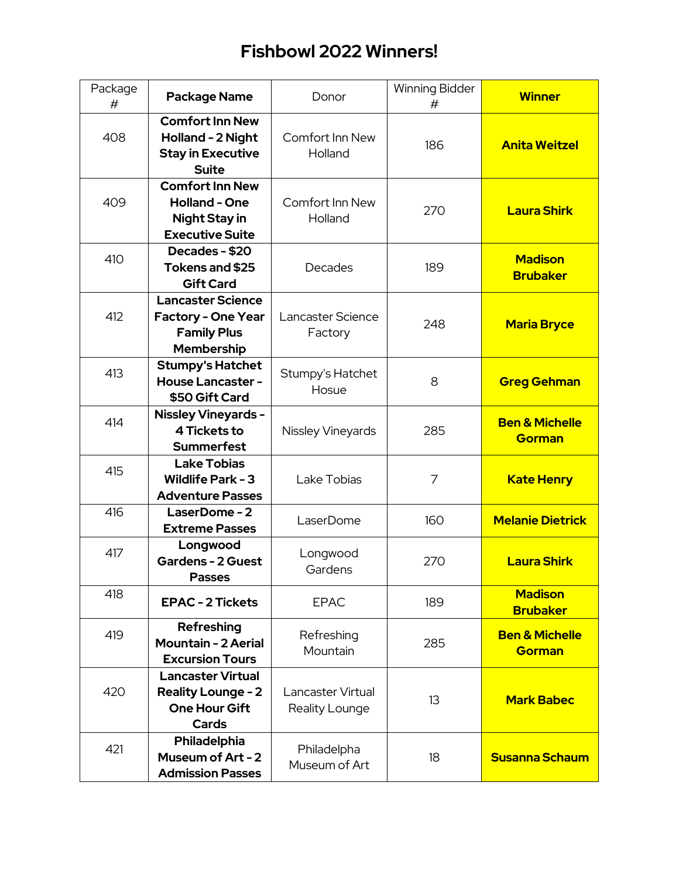| Package<br># | <b>Package Name</b>                                                                              | Donor                               | <b>Winning Bidder</b><br># | <b>Winner</b>                              |
|--------------|--------------------------------------------------------------------------------------------------|-------------------------------------|----------------------------|--------------------------------------------|
| 408          | <b>Comfort Inn New</b><br>Holland - 2 Night<br><b>Stay in Executive</b><br><b>Suite</b>          | Comfort Inn New<br>Holland          | 186                        | <b>Anita Weitzel</b>                       |
| 409          | <b>Comfort Inn New</b><br><b>Holland - One</b><br><b>Night Stay in</b><br><b>Executive Suite</b> | Comfort Inn New<br>Holland          | 270                        | <b>Laura Shirk</b>                         |
| 410          | Decades - \$20<br>Tokens and \$25<br><b>Gift Card</b>                                            | Decades                             | 189                        | <b>Madison</b><br><b>Brubaker</b>          |
| 412          | <b>Lancaster Science</b><br><b>Factory - One Year</b><br><b>Family Plus</b><br><b>Membership</b> | Lancaster Science<br>Factory        | 248                        | <b>Maria Bryce</b>                         |
| 413          | <b>Stumpy's Hatchet</b><br><b>House Lancaster -</b><br>\$50 Gift Card                            | Stumpy's Hatchet<br>Hosue           | 8                          | <b>Greg Gehman</b>                         |
| 414          | <b>Nissley Vineyards -</b><br>4 Tickets to<br><b>Summerfest</b>                                  | Nissley Vineyards                   | 285                        | <b>Ben &amp; Michelle</b><br><b>Gorman</b> |
| 415          | <b>Lake Tobias</b><br><b>Wildlife Park - 3</b><br><b>Adventure Passes</b>                        | Lake Tobias                         | 7                          | <b>Kate Henry</b>                          |
| 416          | LaserDome-2<br><b>Extreme Passes</b>                                                             | LaserDome                           | 160                        | <b>Melanie Dietrick</b>                    |
| 417          | Longwood<br><b>Gardens - 2 Guest</b><br>Passes                                                   | Longwood<br>Gardens                 | 270                        | <b>Laura Shirk</b>                         |
| 418          | <b>EPAC - 2 Tickets</b>                                                                          | <b>EPAC</b>                         | 189                        | <b>Madison</b><br><b>Brubaker</b>          |
| 419          | Refreshing<br><b>Mountain - 2 Aerial</b><br><b>Excursion Tours</b>                               | Refreshing<br>Mountain              | 285                        | <b>Ben &amp; Michelle</b><br><b>Gorman</b> |
| 420          | <b>Lancaster Virtual</b><br><b>Reality Lounge - 2</b><br><b>One Hour Gift</b><br>Cards           | Lancaster Virtual<br>Reality Lounge | 13                         | <b>Mark Babec</b>                          |
| 421          | Philadelphia<br>Museum of Art - 2<br><b>Admission Passes</b>                                     | Philadelpha<br>Museum of Art        | 18                         | <b>Susanna Schaum</b>                      |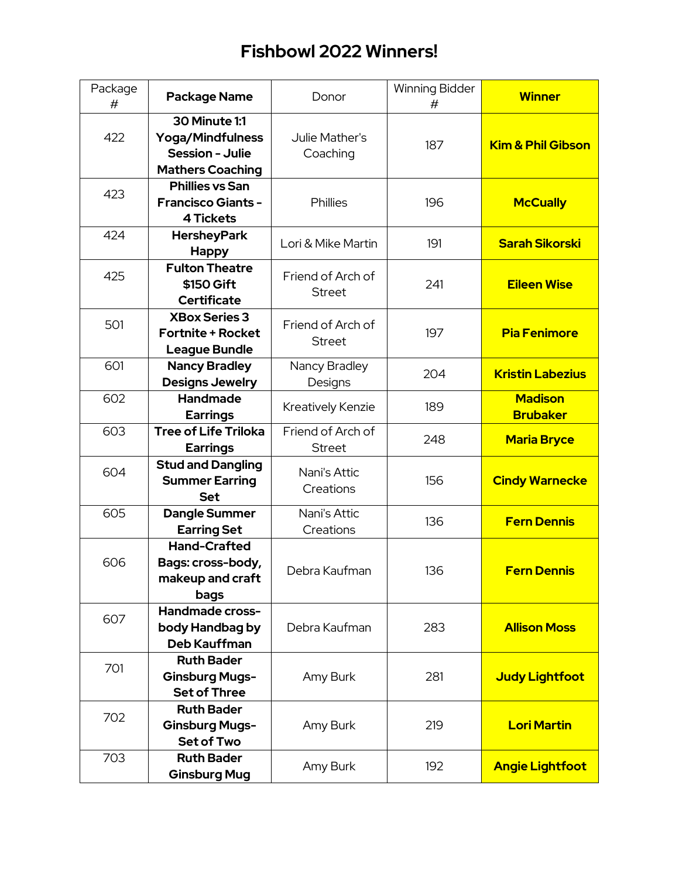| Package<br># | <b>Package Name</b>                                                                                  | Donor                              | <b>Winning Bidder</b><br># | <b>Winner</b>                     |
|--------------|------------------------------------------------------------------------------------------------------|------------------------------------|----------------------------|-----------------------------------|
| 422          | <b>30 Minute 1:1</b><br><b>Yoga/Mindfulness</b><br><b>Session - Julie</b><br><b>Mathers Coaching</b> | Julie Mather's<br>Coaching         | 187                        | <b>Kim &amp; Phil Gibson</b>      |
| 423          | <b>Phillies vs San</b><br><b>Francisco Giants -</b><br><b>4 Tickets</b>                              | Phillies                           | 196                        | <b>McCually</b>                   |
| 424          | <b>HersheyPark</b><br><b>Happy</b>                                                                   | Lori & Mike Martin                 | 191                        | <b>Sarah Sikorski</b>             |
| 425          | <b>Fulton Theatre</b><br>\$150 Gift<br><b>Certificate</b>                                            | Friend of Arch of<br><b>Street</b> | 241                        | <b>Eileen Wise</b>                |
| 501          | <b>XBox Series 3</b><br><b>Fortnite + Rocket</b><br><b>League Bundle</b>                             | Friend of Arch of<br><b>Street</b> | 197                        | <b>Pia Fenimore</b>               |
| 601          | <b>Nancy Bradley</b><br><b>Designs Jewelry</b>                                                       | Nancy Bradley<br>Designs           | 204                        | <b>Kristin Labezius</b>           |
| 602          | Handmade<br><b>Earrings</b>                                                                          | Kreatively Kenzie                  | 189                        | <b>Madison</b><br><b>Brubaker</b> |
| 603          | <b>Tree of Life Triloka</b><br><b>Earrings</b>                                                       | Friend of Arch of<br><b>Street</b> | 248                        | <b>Maria Bryce</b>                |
| 604          | <b>Stud and Dangling</b><br><b>Summer Earring</b><br><b>Set</b>                                      | Nani's Attic<br>Creations          | 156                        | <b>Cindy Warnecke</b>             |
| 605          | <b>Dangle Summer</b><br><b>Earring Set</b>                                                           | Nani's Attic<br>Creations          | 136                        | <b>Fern Dennis</b>                |
| 606          | <b>Hand-Crafted</b><br>Bags: cross-body,<br>makeup and craft<br>bags                                 | Debra Kaufman                      | 136                        | <b>Fern Dennis</b>                |
| 607          | Handmade cross-<br>body Handbag by<br><b>Deb Kauffman</b>                                            | Debra Kaufman                      | 283                        | <b>Allison Moss</b>               |
| 701          | <b>Ruth Bader</b><br><b>Ginsburg Mugs-</b><br><b>Set of Three</b>                                    | Amy Burk                           | 281                        | <b>Judy Lightfoot</b>             |
| 702          | <b>Ruth Bader</b><br><b>Ginsburg Mugs-</b><br><b>Set of Two</b>                                      | Amy Burk                           | 219                        | <b>Lori Martin</b>                |
| 703          | <b>Ruth Bader</b><br><b>Ginsburg Mug</b>                                                             | Amy Burk                           | 192                        | <b>Angie Lightfoot</b>            |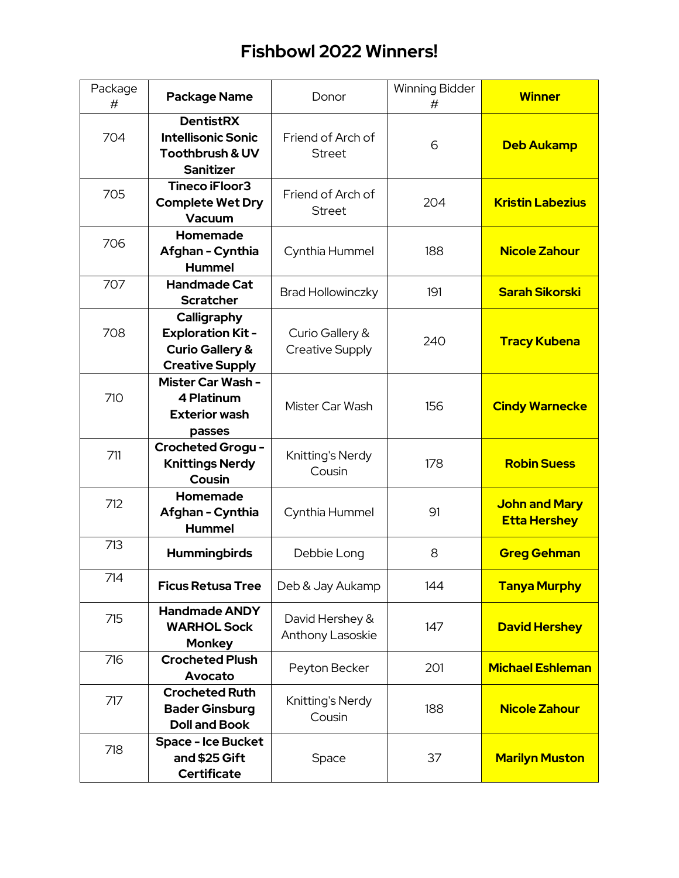| Package<br># | <b>Package Name</b>                                                                             | Donor                                     | Winning Bidder<br># | <b>Winner</b>                               |
|--------------|-------------------------------------------------------------------------------------------------|-------------------------------------------|---------------------|---------------------------------------------|
| 704          | <b>DentistRX</b><br><b>Intellisonic Sonic</b><br><b>Toothbrush &amp; UV</b><br><b>Sanitizer</b> | Friend of Arch of<br><b>Street</b>        | 6                   | <b>Deb Aukamp</b>                           |
| 705          | Tineco iFloor3<br><b>Complete Wet Dry</b><br>Vacuum                                             | Friend of Arch of<br><b>Street</b>        | 204                 | <b>Kristin Labezius</b>                     |
| 706          | Homemade<br>Afghan - Cynthia<br><b>Hummel</b>                                                   | Cynthia Hummel                            | 188                 | <b>Nicole Zahour</b>                        |
| 707          | <b>Handmade Cat</b><br><b>Scratcher</b>                                                         | <b>Brad Hollowinczky</b>                  | 191                 | <b>Sarah Sikorski</b>                       |
| 708          | Calligraphy<br><b>Exploration Kit-</b><br><b>Curio Gallery &amp;</b><br><b>Creative Supply</b>  | Curio Gallery &<br><b>Creative Supply</b> | 240                 | <b>Tracy Kubena</b>                         |
| 710          | Mister Car Wash -<br>4 Platinum<br><b>Exterior wash</b><br>passes                               | Mister Car Wash                           | 156                 | <b>Cindy Warnecke</b>                       |
| 711          | <b>Crocheted Grogu-</b><br><b>Knittings Nerdy</b><br>Cousin                                     | Knitting's Nerdy<br>Cousin                | 178                 | <b>Robin Suess</b>                          |
| 712          | Homemade<br>Afghan - Cynthia<br><b>Hummel</b>                                                   | Cynthia Hummel                            | 91                  | <b>John and Mary</b><br><b>Etta Hershey</b> |
| 713          | <b>Hummingbirds</b>                                                                             | Debbie Long                               | 8                   | <b>Greg Gehman</b>                          |
| 714          | <b>Ficus Retusa Tree</b>                                                                        | Deb & Jay Aukamp                          | 144                 | <b>Tanya Murphy</b>                         |
| 715          | <b>Handmade ANDY</b><br><b>WARHOL Sock</b><br><b>Monkey</b>                                     | David Hershey &<br>Anthony Lasoskie       | 147                 | <b>David Hershey</b>                        |
| 716          | <b>Crocheted Plush</b><br>Avocato                                                               | Peyton Becker                             | 201                 | <b>Michael Eshleman</b>                     |
| 717          | <b>Crocheted Ruth</b><br><b>Bader Ginsburg</b><br><b>Doll and Book</b>                          | Knitting's Nerdy<br>Cousin                | 188                 | <b>Nicole Zahour</b>                        |
| 718          | <b>Space - Ice Bucket</b><br>and \$25 Gift<br><b>Certificate</b>                                | Space                                     | 37                  | <b>Marilyn Muston</b>                       |